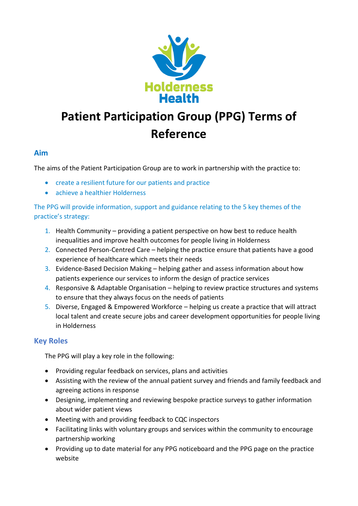

# **Patient Participation Group (PPG) Terms of Reference**

## **Aim**

The aims of the Patient Participation Group are to work in partnership with the practice to:

- create a resilient future for our patients and practice
- achieve a healthier Holderness

The PPG will provide information, support and guidance relating to the 5 key themes of the practice's strategy:

- 1. Health Community providing a patient perspective on how best to reduce health inequalities and improve health outcomes for people living in Holderness
- 2. Connected Person-Centred Care helping the practice ensure that patients have a good experience of healthcare which meets their needs
- 3. Evidence-Based Decision Making helping gather and assess information about how patients experience our services to inform the design of practice services
- 4. Responsive & Adaptable Organisation helping to review practice structures and systems to ensure that they always focus on the needs of patients
- 5. Diverse, Engaged & Empowered Workforce helping us create a practice that will attract local talent and create secure jobs and career development opportunities for people living in Holderness

## **Key Roles**

The PPG will play a key role in the following:

- Providing regular feedback on services, plans and activities
- Assisting with the review of the annual patient survey and friends and family feedback and agreeing actions in response
- Designing, implementing and reviewing bespoke practice surveys to gather information about wider patient views
- Meeting with and providing feedback to CQC inspectors
- Facilitating links with voluntary groups and services within the community to encourage partnership working
- Providing up to date material for any PPG noticeboard and the PPG page on the practice website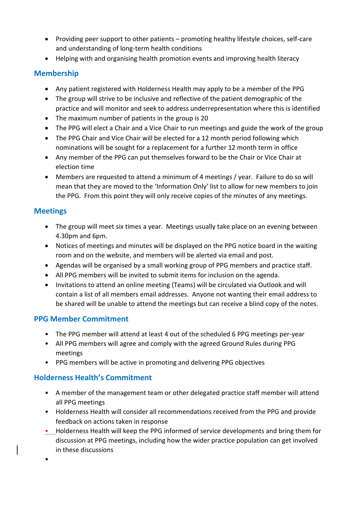- Providing peer support to other patients promoting healthy lifestyle choices, self-care and understanding of long-term health conditions
- Helping with and organising health promotion events and improving health literacy

## **Membership**

- Any patient registered with Holderness Health may apply to be a member of the PPG
- The group will strive to be inclusive and reflective of the patient demographic of the practice and will monitor and seek to address underrepresentation where this is identified
- The maximum number of patients in the group is 20
- The PPG will elect a Chair and a Vice Chair to run meetings and guide the work of the group
- The PPG Chair and Vice Chair will be elected for a 12 month period following which nominations will be sought for a replacement for a further 12 month term in office
- Any member of the PPG can put themselves forward to be the Chair or Vice Chair at election time
- Members are requested to attend a minimum of 4 meetings / year. Failure to do so will mean that they are moved to the 'Information Only' list to allow for new members to join the PPG. From this point they will only receive copies of the minutes of any meetings.

## **Meetings**

•

- The group will meet six times a year. Meetings usually take place on an evening between 4.30pm and 6pm.
- Notices of meetings and minutes will be displayed on the PPG notice board in the waiting room and on the website, and members will be alerted via email and post.
- Agendas will be organised by a small working group of PPG members and practice staff.
- All PPG members will be invited to submit items for inclusion on the agenda.
- Invitations to attend an online meeting (Teams) will be circulated via Outlook and will contain a list of all members email addresses. Anyone not wanting their email address to be shared will be unable to attend the meetings but can receive a blind copy of the notes.

## **PPG Member Commitment**

- The PPG member will attend at least 4 out of the scheduled 6 PPG meetings per-year
- All PPG members will agree and comply with the agreed Ground Rules during PPG meetings
- PPG members will be active in promoting and delivering PPG objectives

## **Holderness Health's Commitment**

- A member of the management team or other delegated practice staff member will attend all PPG meetings
- Holderness Health will consider all recommendations received from the PPG and provide feedback on actions taken in response
- Holderness Health will keep the PPG informed of service developments and bring them for discussion at PPG meetings, including how the wider practice population can get involved in these discussions